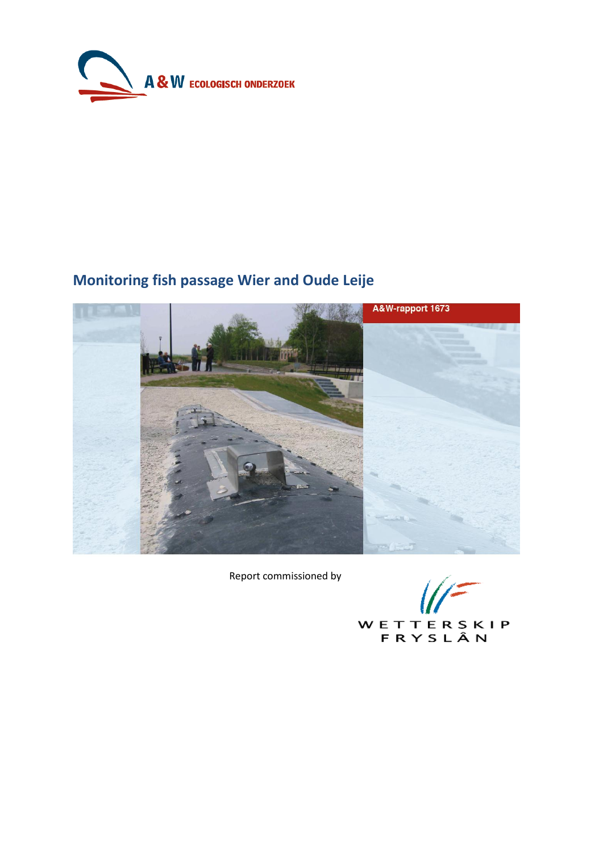

# **Monitoring fish passage Wier and Oude Leije**



Report commissioned by

WETTERSKIP<br>FRYSLÂN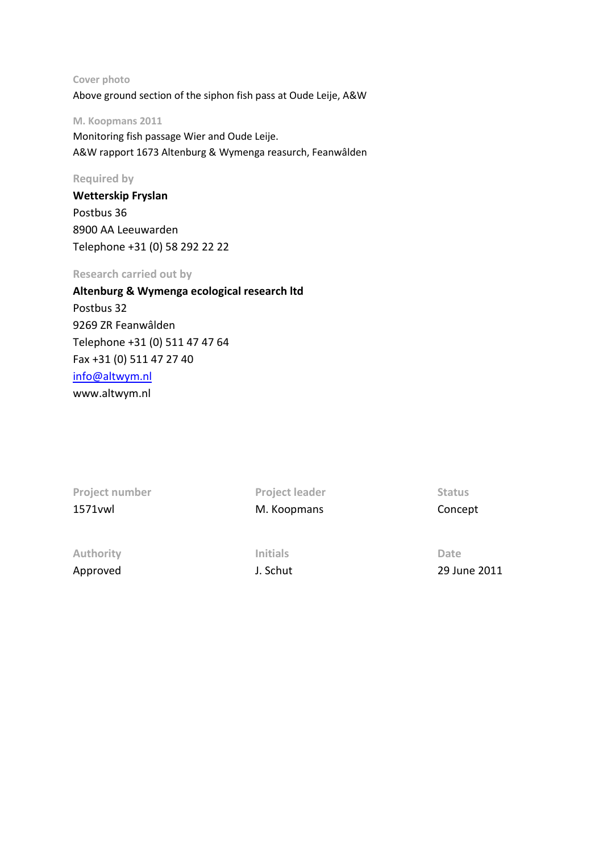#### **Cover photo**

Above ground section of the siphon fish pass at Oude Leije, A&W

#### **M. Koopmans 2011**

Monitoring fish passage Wier and Oude Leije. A&W rapport 1673 Altenburg & Wymenga reasurch, Feanwâlden

#### **Required by**

**Wetterskip Fryslan** Postbus 36 8900 AA Leeuwarden Telephone +31 (0) 58 292 22 22

### **Research carried out by**

# **Altenburg & Wymenga ecological research ltd** Postbus 32 9269 ZR Feanwâlden Telephone +31 (0) 511 47 47 64 Fax +31 (0) 511 47 27 40 [info@altwym.nl](mailto:info@altwym.nl) www.altwym.nl

| Project number   | <b>Project leader</b> | <b>Status</b> |
|------------------|-----------------------|---------------|
| 1571 vwl         | M. Koopmans           | Concept       |
| <b>Authority</b> | <b>Initials</b>       | Date          |

Approved 1. Schut J. Schut 29 June 2011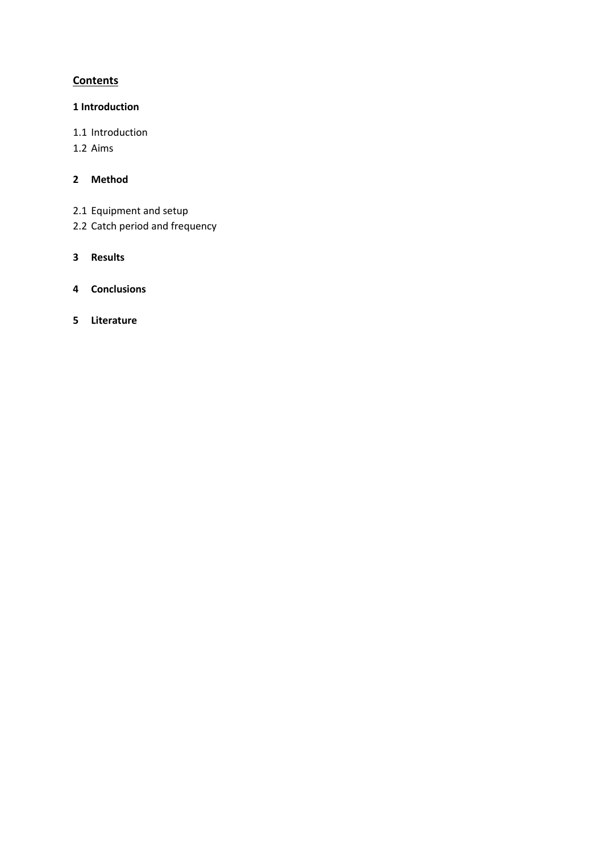# **Contents**

# **1 Introduction**

- 1.1 Introduction
- 1.2 Aims

# **2 Method**

- 2.1 Equipment and setup
- 2.2 Catch period and frequency
- **3 Results**
- **4 Conclusions**
- **5 Literature**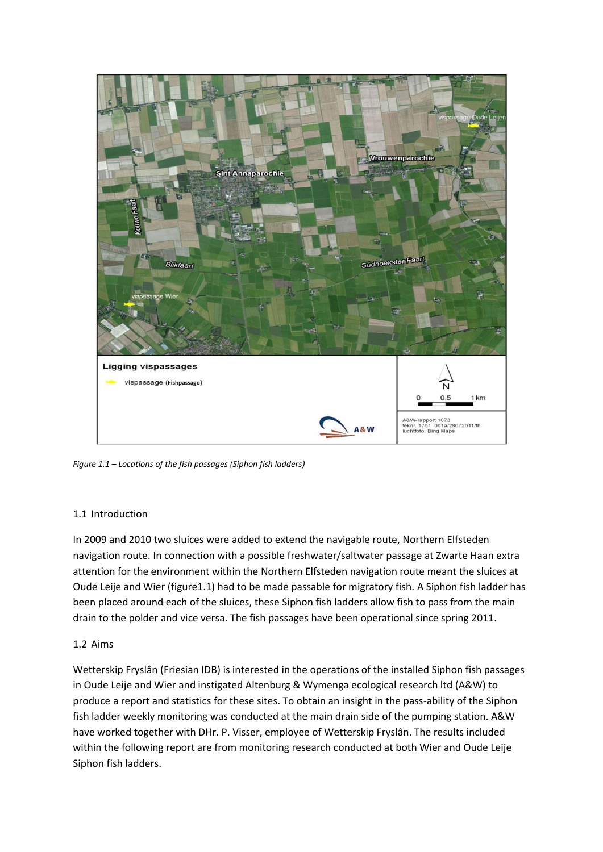

*Figure 1.1 – Locations of the fish passages (Siphon fish ladders)*

## 1.1 Introduction

In 2009 and 2010 two sluices were added to extend the navigable route, Northern Elfsteden navigation route. In connection with a possible freshwater/saltwater passage at Zwarte Haan extra attention for the environment within the Northern Elfsteden navigation route meant the sluices at Oude Leije and Wier (figure1.1) had to be made passable for migratory fish. A Siphon fish ladder has been placed around each of the sluices, these Siphon fish ladders allow fish to pass from the main drain to the polder and vice versa. The fish passages have been operational since spring 2011.

## 1.2 Aims

Wetterskip Fryslân (Friesian IDB) is interested in the operations of the installed Siphon fish passages in Oude Leije and Wier and instigated Altenburg & Wymenga ecological research ltd (A&W) to produce a report and statistics for these sites. To obtain an insight in the pass-ability of the Siphon fish ladder weekly monitoring was conducted at the main drain side of the pumping station. A&W have worked together with DHr. P. Visser, employee of Wetterskip Fryslân. The results included within the following report are from monitoring research conducted at both Wier and Oude Leije Siphon fish ladders.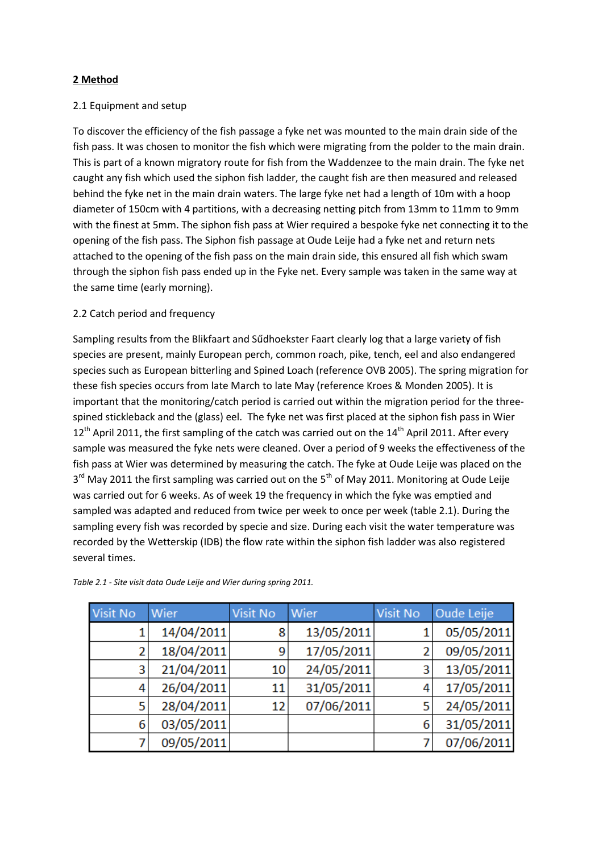### **2 Method**

#### 2.1 Equipment and setup

To discover the efficiency of the fish passage a fyke net was mounted to the main drain side of the fish pass. It was chosen to monitor the fish which were migrating from the polder to the main drain. This is part of a known migratory route for fish from the Waddenzee to the main drain. The fyke net caught any fish which used the siphon fish ladder, the caught fish are then measured and released behind the fyke net in the main drain waters. The large fyke net had a length of 10m with a hoop diameter of 150cm with 4 partitions, with a decreasing netting pitch from 13mm to 11mm to 9mm with the finest at 5mm. The siphon fish pass at Wier required a bespoke fyke net connecting it to the opening of the fish pass. The Siphon fish passage at Oude Leije had a fyke net and return nets attached to the opening of the fish pass on the main drain side, this ensured all fish which swam through the siphon fish pass ended up in the Fyke net. Every sample was taken in the same way at the same time (early morning).

#### 2.2 Catch period and frequency

Sampling results from the Blikfaart and Sűdhoekster Faart clearly log that a large variety of fish species are present, mainly European perch, common roach, pike, tench, eel and also endangered species such as European bitterling and Spined Loach (reference OVB 2005). The spring migration for these fish species occurs from late March to late May (reference Kroes & Monden 2005). It is important that the monitoring/catch period is carried out within the migration period for the threespined stickleback and the (glass) eel. The fyke net was first placed at the siphon fish pass in Wier  $12<sup>th</sup>$  April 2011, the first sampling of the catch was carried out on the 14<sup>th</sup> April 2011. After every sample was measured the fyke nets were cleaned. Over a period of 9 weeks the effectiveness of the fish pass at Wier was determined by measuring the catch. The fyke at Oude Leije was placed on the 3<sup>rd</sup> May 2011 the first sampling was carried out on the 5<sup>th</sup> of May 2011. Monitoring at Oude Leije was carried out for 6 weeks. As of week 19 the frequency in which the fyke was emptied and sampled was adapted and reduced from twice per week to once per week (table 2.1). During the sampling every fish was recorded by specie and size. During each visit the water temperature was recorded by the Wetterskip (IDB) the flow rate within the siphon fish ladder was also registered several times.

| <b>Visit No</b> | Wier       | Visit No        | Wier       | Visit No | Oude Leije |
|-----------------|------------|-----------------|------------|----------|------------|
|                 | 14/04/2011 | 8               | 13/05/2011 |          | 05/05/2011 |
| 2               | 18/04/2011 | 9               | 17/05/2011 | 2        | 09/05/2011 |
| 3               | 21/04/2011 | 10 <sup>1</sup> | 24/05/2011 | 3        | 13/05/2011 |
| 4               | 26/04/2011 | 11              | 31/05/2011 | 4        | 17/05/2011 |
| 5               | 28/04/2011 | 12              | 07/06/2011 | 5        | 24/05/2011 |
| 6               | 03/05/2011 |                 |            | 6        | 31/05/2011 |
|                 | 09/05/2011 |                 |            |          | 07/06/2011 |

*Table 2.1 - Site visit data Oude Leije and Wier during spring 2011.*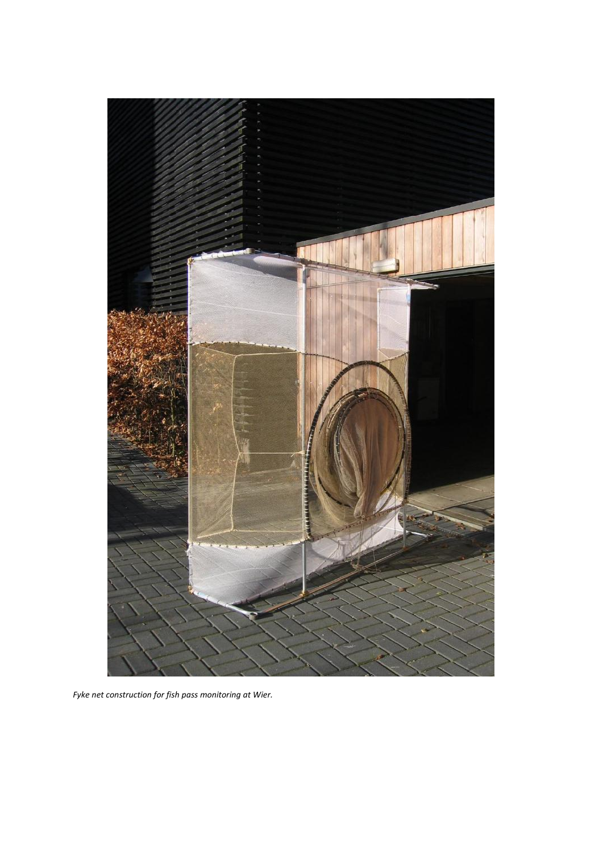

*Fyke net construction for fish pass monitoring at Wier.*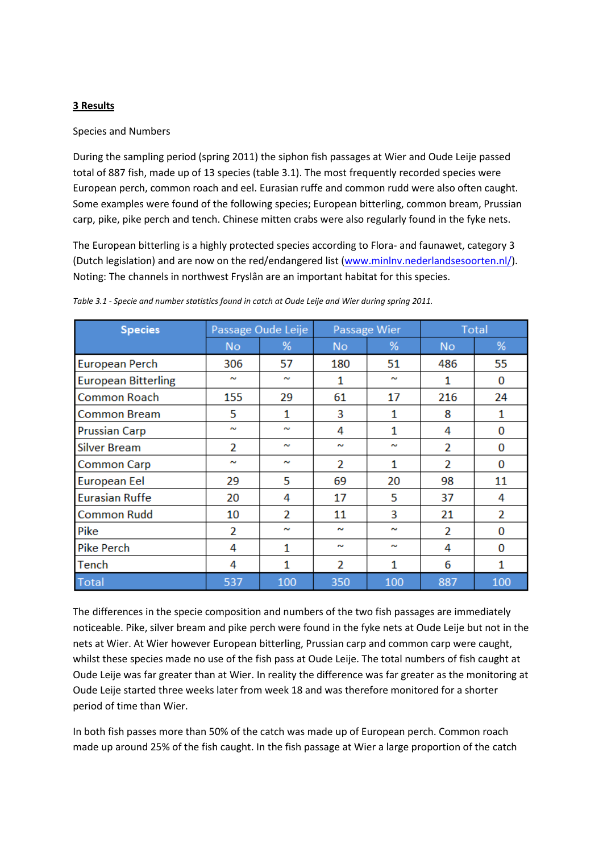#### **3 Results**

#### Species and Numbers

During the sampling period (spring 2011) the siphon fish passages at Wier and Oude Leije passed total of 887 fish, made up of 13 species (table 3.1). The most frequently recorded species were European perch, common roach and eel. Eurasian ruffe and common rudd were also often caught. Some examples were found of the following species; European bitterling, common bream, Prussian carp, pike, pike perch and tench. Chinese mitten crabs were also regularly found in the fyke nets.

The European bitterling is a highly protected species according to Flora- and faunawet, category 3 (Dutch legislation) and are now on the red/endangered list [\(www.minlnv.nederlandsesoorten.nl/\)](http://www.minlnv.nederlandsesoorten.nl/). Noting: The channels in northwest Fryslân are an important habitat for this species.

| <b>Species</b>             | Passage Oude Leije |        |           | Passage Wier      | <b>Total</b>   |                |  |
|----------------------------|--------------------|--------|-----------|-------------------|----------------|----------------|--|
|                            | <b>No</b>          | %      | <b>No</b> | %                 | <b>No</b>      | %              |  |
| <b>European Perch</b>      | 306                | 57     | 180       | 51                | 486            | 55             |  |
| <b>European Bitterling</b> | $\sim$             | $\sim$ | 1         | $\sim$            | 1              | 0              |  |
| Common Roach               | 155                | 29     | 61        | 17                | 216            | 24             |  |
| <b>Common Bream</b>        | 5                  | 1      | 3         | $\mathbf{1}$      | 8              | $\mathbf{1}$   |  |
| Prussian Carp              | $\sim$             | $\sim$ | 4         | $\mathbf{1}$<br>4 |                | $\Omega$       |  |
| <b>Silver Bream</b>        | $\overline{2}$     | $\sim$ | w         | $\sim$            | $\overline{2}$ | 0              |  |
| <b>Common Carp</b>         | $\sim$             | $\sim$ | 2         | $\mathbf{1}$      | $\overline{2}$ | 0              |  |
| <b>European Eel</b>        | 29                 | 5      | 69        | 20                | 98             | 11             |  |
| <b>Eurasian Ruffe</b>      | 20                 | 4      | 17        | 5                 | 37             | 4              |  |
| <b>Common Rudd</b>         | 10                 | 2      | 11        | 3                 | 21             | $\overline{2}$ |  |
| Pike                       | 2                  | $\sim$ | $\sim$    | $\sim$            | $\overline{2}$ | $\Omega$       |  |
| <b>Pike Perch</b>          | 4                  | 1      | w         | $\sim$            | 4              | $\Omega$       |  |
| Tench                      | 4                  | 1      | 2         | 1                 | 6              | 1              |  |
| <b>Total</b>               | 537                | 100    | 350       | 100               | 887            | 100            |  |

*Table 3.1 - Specie and number statistics found in catch at Oude Leije and Wier during spring 2011.*

The differences in the specie composition and numbers of the two fish passages are immediately noticeable. Pike, silver bream and pike perch were found in the fyke nets at Oude Leije but not in the nets at Wier. At Wier however European bitterling, Prussian carp and common carp were caught, whilst these species made no use of the fish pass at Oude Leije. The total numbers of fish caught at Oude Leije was far greater than at Wier. In reality the difference was far greater as the monitoring at Oude Leije started three weeks later from week 18 and was therefore monitored for a shorter period of time than Wier.

In both fish passes more than 50% of the catch was made up of European perch. Common roach made up around 25% of the fish caught. In the fish passage at Wier a large proportion of the catch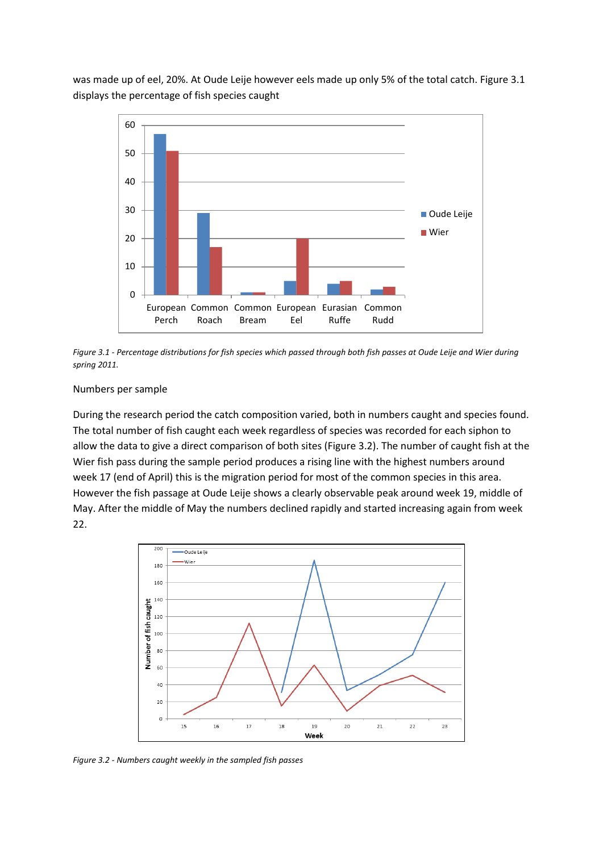was made up of eel, 20%. At Oude Leije however eels made up only 5% of the total catch. Figure 3.1 displays the percentage of fish species caught



*Figure 3.1 - Percentage distributions for fish species which passed through both fish passes at Oude Leije and Wier during spring 2011.*

#### Numbers per sample

During the research period the catch composition varied, both in numbers caught and species found. The total number of fish caught each week regardless of species was recorded for each siphon to allow the data to give a direct comparison of both sites (Figure 3.2). The number of caught fish at the Wier fish pass during the sample period produces a rising line with the highest numbers around week 17 (end of April) this is the migration period for most of the common species in this area. However the fish passage at Oude Leije shows a clearly observable peak around week 19, middle of May. After the middle of May the numbers declined rapidly and started increasing again from week 22.



*Figure 3.2 - Numbers caught weekly in the sampled fish passes*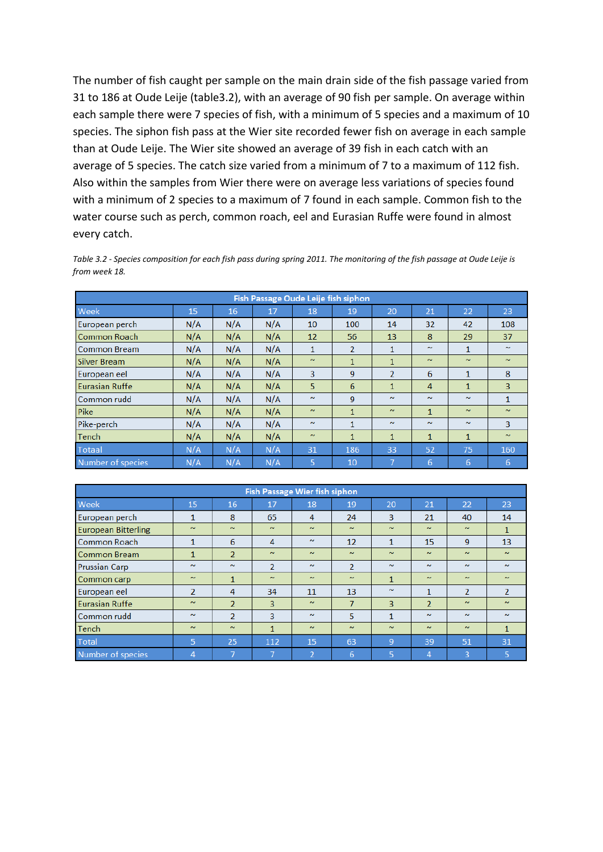The number of fish caught per sample on the main drain side of the fish passage varied from 31 to 186 at Oude Leije (table3.2), with an average of 90 fish per sample. On average within each sample there were 7 species of fish, with a minimum of 5 species and a maximum of 10 species. The siphon fish pass at the Wier site recorded fewer fish on average in each sample than at Oude Leije. The Wier site showed an average of 39 fish in each catch with an average of 5 species. The catch size varied from a minimum of 7 to a maximum of 112 fish. Also within the samples from Wier there were on average less variations of species found with a minimum of 2 species to a maximum of 7 found in each sample. Common fish to the water course such as perch, common roach, eel and Eurasian Ruffe were found in almost every catch.

*Table 3.2 - Species composition for each fish pass during spring 2011. The monitoring of the fish passage at Oude Leije is from week 18.* 

| Fish Passage Oude Leije fish siphon |     |     |     |              |                |                |              |              |              |  |
|-------------------------------------|-----|-----|-----|--------------|----------------|----------------|--------------|--------------|--------------|--|
| Week                                | 15  | 16  | 17  | 18           | 19             | 20             | 21           | 22           | 23           |  |
| European perch                      | N/A | N/A | N/A | 10           | 100            | 14             | 32           | 42           | 108          |  |
| <b>Common Roach</b>                 | N/A | N/A | N/A | 12           | 56             | 13             | 8            | 29           | 37           |  |
| <b>Common Bream</b>                 | N/A | N/A | N/A | $\mathbf{1}$ | $\overline{2}$ | 1              | $\sim$       | 1            | $\sim$       |  |
| <b>Silver Bream</b>                 | N/A | N/A | N/A | $\sim$       | $\mathbf{1}$   | $\mathbf{1}$   | $\sim$       | $\sim$       | $\sim$       |  |
| European eel                        | N/A | N/A | N/A | 3            | 9              | $\overline{2}$ | 6            | 1            | 8            |  |
| Eurasian Ruffe                      | N/A | N/A | N/A | 5            | 6              | 1              | 4            | $\mathbf{1}$ | 3            |  |
| Common rudd                         | N/A | N/A | N/A | $\sim$       | 9              | $\sim$         | $\sim$       | $\sim$       | $\mathbf{1}$ |  |
| Pike                                | N/A | N/A | N/A | $\sim$       | $\mathbf{1}$   | $\sim$         | $\mathbf{1}$ | $\sim$       | $\sim$       |  |
| Pike-perch                          | N/A | N/A | N/A | $\sim$       | $\mathbf{1}$   | $\sim$         | $\sim$       | $\sim$       | 3            |  |
| Tench                               | N/A | N/A | N/A | $\sim$       | $\mathbf{1}$   | 1              | $\mathbf{1}$ | $\mathbf{1}$ | $\sim$       |  |
| <b>Totaal</b>                       | N/A | N/A | N/A | 31           | 186            | 33             | 52           | 75           | 160          |  |
| Number of species                   | N/A | N/A | N/A | 5            | 10             | 7              | 6            | 6            | 6            |  |

| <b>Fish Passage Wier fish siphon</b> |                |                |                |        |                |                |                |                |                |  |
|--------------------------------------|----------------|----------------|----------------|--------|----------------|----------------|----------------|----------------|----------------|--|
| Week                                 | 15             | 16             | 17             | 18     | 19             | 20             | 21             | 22             | 23             |  |
| European perch                       | 1              | 8              | 65             | 4      | 24             | 3              | 21             | 40             | 14             |  |
| <b>European Bitterling</b>           | $\sim$         | $\sim$         | $\sim$         | $\sim$ | $\sim$         | $\sim$         | $\sim$         | $\sim$         | 1              |  |
| <b>Common Roach</b>                  | 1              | 6              | 4              | $\sim$ | 12             | $\mathbf{1}$   | 15             | 9              | 13             |  |
| Common Bream                         | 1              | $\overline{2}$ | $\sim$         | $\sim$ | $\sim$         | $\sim$         | $\sim$         | $\sim$         | $\sim$         |  |
| <b>Prussian Carp</b>                 | $\sim$         | $\sim$         | $\overline{2}$ | $\sim$ | $\overline{2}$ | $\sim$         | $\sim$         | $\sim$         | $\sim$         |  |
| Common carp                          | $\sim$         | 1              | $\sim$         | $\sim$ | $\sim$         | $\mathbf{1}$   | $\sim$         | $\sim$         | $\sim$         |  |
| European eel                         | $\overline{2}$ | 4              | 34             | 11     | 13             | $\sim$         | 1              | $\overline{2}$ | $\overline{2}$ |  |
| <b>Eurasian Ruffe</b>                | $\sim$         | $\overline{2}$ | 3              | $\sim$ | 7              | 3              | $\overline{2}$ | $\sim$         | $\sim$         |  |
| Common rudd                          | $\sim$         | $\overline{2}$ | 3              | $\sim$ | 5              | 1              | $\sim$         | $\sim$         | $\sim$         |  |
| Tench                                | $\sim$         | $\sim$         | 1              | $\sim$ | $\sim$         | $\sim$         | $\sim$         | $\sim$         | $\mathbf{1}$   |  |
| <b>Total</b>                         | 5              | 25             | 112            | 15     | 63             | $\overline{9}$ | 39             | 51             | 31             |  |
| Number of species                    | 4              |                |                | 2      | 6              | 5              | 4              | 3              | 5              |  |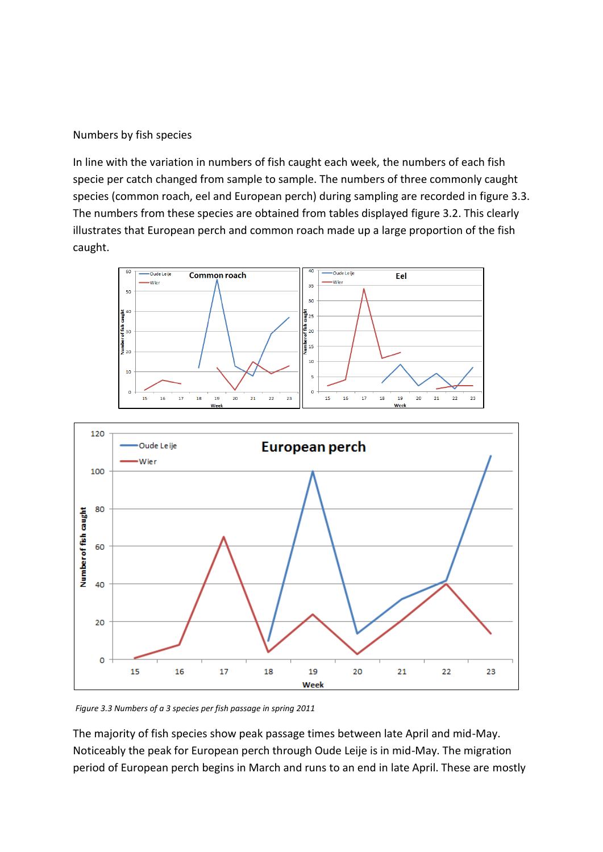#### Numbers by fish species

In line with the variation in numbers of fish caught each week, the numbers of each fish specie per catch changed from sample to sample. The numbers of three commonly caught species (common roach, eel and European perch) during sampling are recorded in figure 3.3. The numbers from these species are obtained from tables displayed figure 3.2. This clearly illustrates that European perch and common roach made up a large proportion of the fish caught.





*Figure 3.3 Numbers of a 3 species per fish passage in spring 2011*

The majority of fish species show peak passage times between late April and mid-May. Noticeably the peak for European perch through Oude Leije is in mid-May. The migration period of European perch begins in March and runs to an end in late April. These are mostly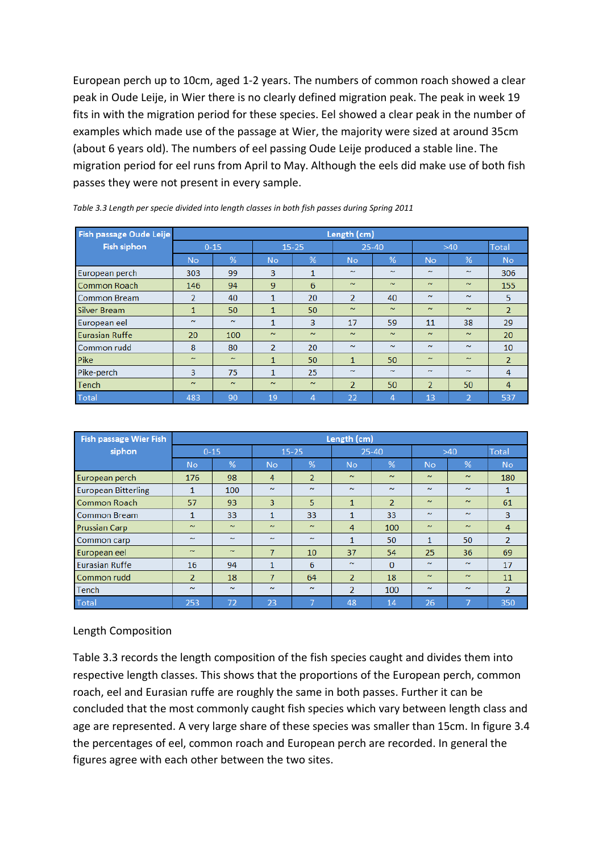European perch up to 10cm, aged 1-2 years. The numbers of common roach showed a clear peak in Oude Leije, in Wier there is no clearly defined migration peak. The peak in week 19 fits in with the migration period for these species. Eel showed a clear peak in the number of examples which made use of the passage at Wier, the majority were sized at around 35cm (about 6 years old). The numbers of eel passing Oude Leije produced a stable line. The migration period for eel runs from April to May. Although the eels did make use of both fish passes they were not present in every sample.

| Fish passage Oude Leije |              | Length (cm) |                |                |                |        |                |        |                |  |
|-------------------------|--------------|-------------|----------------|----------------|----------------|--------|----------------|--------|----------------|--|
| <b>Fish siphon</b>      |              | $0 - 15$    | $15 - 25$      |                | $25 - 40$      |        | $>40$          |        | <b>Total</b>   |  |
|                         | <b>No</b>    | %           | <b>No</b>      | %              | <b>No</b>      | %      | <b>No</b>      | %      | <b>No</b>      |  |
| European perch          | 303          | 99          | 3              | $\mathbf{1}$   | $\sim$         | $\sim$ | $\sim$         | $\sim$ | 306            |  |
| Common Roach            | 146          | 94          | 9              | 6              | $\sim$         | $\sim$ | $\sim$         | $\sim$ | 155            |  |
| <b>Common Bream</b>     | 2            | 40          | $\mathbf{1}$   | 20             | $\overline{2}$ | 40     | $\sim$         | $\sim$ | 5              |  |
| <b>Silver Bream</b>     | $\mathbf{1}$ | 50          | $\mathbf{1}$   | 50             | $\sim$         | $\sim$ | $\sim$         | $\sim$ | $\overline{2}$ |  |
| European eel            | $\sim$       | $\sim$      | 1              | 3              | 17             | 59     | 11             | 38     | 29             |  |
| Eurasian Ruffe          | 20           | 100         | $\sim$         | $\sim$         | $\sim$         | $\sim$ | $\sim$         | $\sim$ | 20             |  |
| Common rudd             | 8            | 80          | $\overline{2}$ | 20             | $\sim$         | $\sim$ | $\sim$         | $\sim$ | 10             |  |
| Pike                    | $\sim$       | $\sim$      | $\mathbf{1}$   | 50             | $\mathbf{1}$   | 50     | $\sim$         | $\sim$ | $\overline{2}$ |  |
| Pike-perch              | 3            | 75          | $\mathbf{1}$   | 25             | $\sim$         | $\sim$ | $\sim$         | $\sim$ | 4              |  |
| Tench                   | $\sim$       | $\sim$      | $\sim$         | $\sim$         | $\overline{2}$ | 50     | $\overline{2}$ | 50     | 4              |  |
| <b>Total</b>            | 483          | 90          | 19             | $\overline{4}$ | 22             | 4      | 13             | 2      | 537            |  |

|  |  | Table 3.3 Length per specie divided into length classes in both fish passes during Spring 2011 |
|--|--|------------------------------------------------------------------------------------------------|
|  |  |                                                                                                |

| Fish passage Wier Fish     |                | Length (cm) |                |                |                |                |              |        |                |
|----------------------------|----------------|-------------|----------------|----------------|----------------|----------------|--------------|--------|----------------|
| siphon                     |                | $0 - 15$    | $15 - 25$      |                | $25 - 40$      |                | $>40$        |        | <b>Total</b>   |
|                            | <b>No</b>      | %           | <b>No</b>      | %              | <b>No</b>      | %              | <b>No</b>    | %      | <b>No</b>      |
| European perch             | 176            | 98          | 4              | $\overline{2}$ | $\sim$         | $\sim$         | $\sim$       | $\sim$ | 180            |
| <b>European Bitterling</b> | 1              | 100         | $\sim$         | $\sim$         | $\sim$         | $\sim$         | $\sim$       | $\sim$ | 1              |
| <b>Common Roach</b>        | 57             | 93          | 3              | 5              | $\mathbf{1}$   | $\overline{2}$ | $\sim$       | $\sim$ | 61             |
| Common Bream               | 1              | 33          | 1              | 33             | 1              | 33             | $\sim$       | $\sim$ | 3              |
| <b>Prussian Carp</b>       | $\sim$         | $\sim$      | $\sim$         | $\sim$         | $\overline{4}$ | 100            | $\sim$       | $\sim$ | 4              |
| Common carp                | $\sim$         | $\sim$      | $\sim$         | $\sim$         | $\mathbf{1}$   | 50             | $\mathbf{1}$ | 50     | $\overline{2}$ |
| European eel               | $\sim$         | $\sim$      | $\overline{7}$ | 10             | 37             | 54             | 25           | 36     | 69             |
| <b>Eurasian Ruffe</b>      | 16             | 94          | 1              | 6              | $\sim$         | $\Omega$       | $\sim$       | $\sim$ | 17             |
| Common rudd                | $\overline{2}$ | 18          | 7              | 64             | $\overline{2}$ | 18             | $\sim$       | $\sim$ | 11             |
| Tench                      | $\sim$         | $\sim$      | $\sim$         | $\sim$         | $\mathcal{P}$  | 100            | $\sim$       | $\sim$ | $\overline{2}$ |
| <b>Total</b>               | 253            | 72          | 23             | 7              | 48             | 14             | 26           |        | 350            |

## Length Composition

Table 3.3 records the length composition of the fish species caught and divides them into respective length classes. This shows that the proportions of the European perch, common roach, eel and Eurasian ruffe are roughly the same in both passes. Further it can be concluded that the most commonly caught fish species which vary between length class and age are represented. A very large share of these species was smaller than 15cm. In figure 3.4 the percentages of eel, common roach and European perch are recorded. In general the figures agree with each other between the two sites.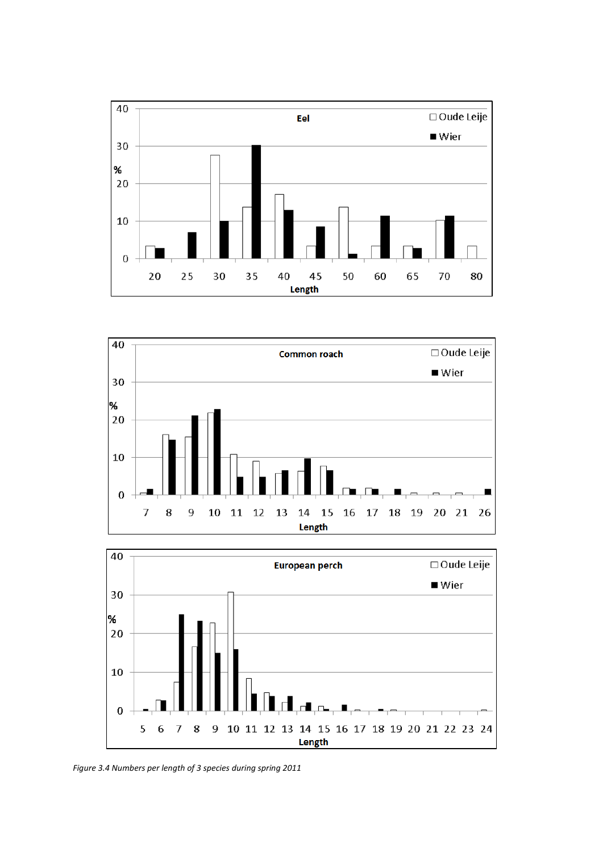





*Figure 3.4 Numbers per length of 3 species during spring 2011*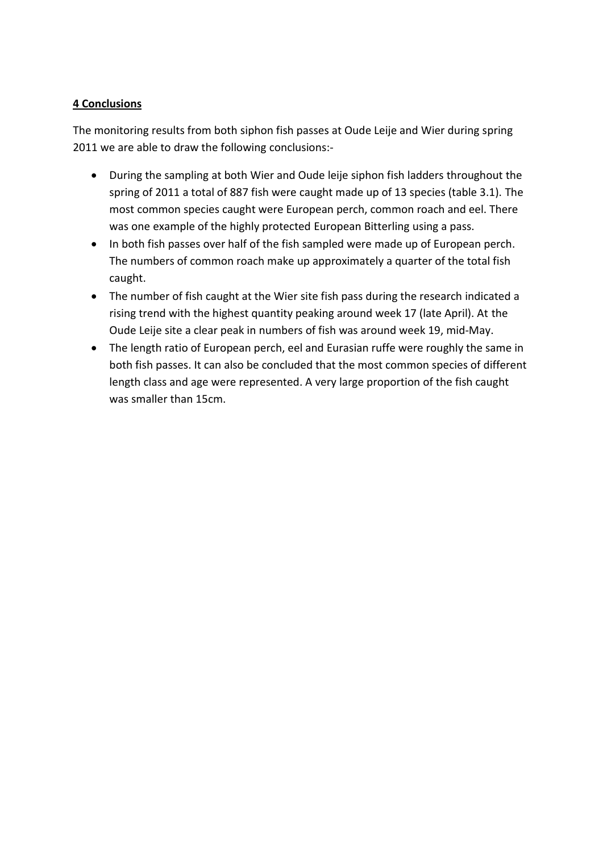# **4 Conclusions**

The monitoring results from both siphon fish passes at Oude Leije and Wier during spring 2011 we are able to draw the following conclusions:-

- During the sampling at both Wier and Oude leije siphon fish ladders throughout the spring of 2011 a total of 887 fish were caught made up of 13 species (table 3.1). The most common species caught were European perch, common roach and eel. There was one example of the highly protected European Bitterling using a pass.
- In both fish passes over half of the fish sampled were made up of European perch. The numbers of common roach make up approximately a quarter of the total fish caught.
- The number of fish caught at the Wier site fish pass during the research indicated a rising trend with the highest quantity peaking around week 17 (late April). At the Oude Leije site a clear peak in numbers of fish was around week 19, mid-May.
- The length ratio of European perch, eel and Eurasian ruffe were roughly the same in both fish passes. It can also be concluded that the most common species of different length class and age were represented. A very large proportion of the fish caught was smaller than 15cm.